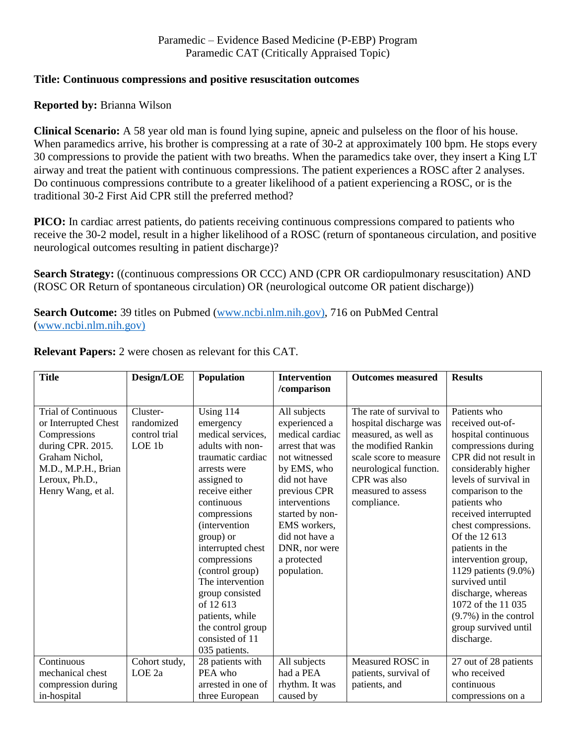## **Title: Continuous compressions and positive resuscitation outcomes**

## **Reported by:** Brianna Wilson

**Clinical Scenario:** A 58 year old man is found lying supine, apneic and pulseless on the floor of his house. When paramedics arrive, his brother is compressing at a rate of 30-2 at approximately 100 bpm. He stops every 30 compressions to provide the patient with two breaths. When the paramedics take over, they insert a King LT airway and treat the patient with continuous compressions. The patient experiences a ROSC after 2 analyses. Do continuous compressions contribute to a greater likelihood of a patient experiencing a ROSC, or is the traditional 30-2 First Aid CPR still the preferred method?

**PICO:** In cardiac arrest patients, do patients receiving continuous compressions compared to patients who receive the 30-2 model, result in a higher likelihood of a ROSC (return of spontaneous circulation, and positive neurological outcomes resulting in patient discharge)?

**Search Strategy:** ((continuous compressions OR CCC) AND (CPR OR cardiopulmonary resuscitation) AND (ROSC OR Return of spontaneous circulation) OR (neurological outcome OR patient discharge))

**Search Outcome:** 39 titles on Pubmed [\(www.ncbi.nlm.nih.gov\),](http://www.ncbi.nlm.nih.gov)/) 716 on PubMed Central [\(www.ncbi.nlm.nih.gov\)](http://www.ncbi.nlm.nih.gov)/)

| <b>Title</b>                                                                                                                                                             | Design/LOE                                        | <b>Population</b>                                                                                                                                                                                                                                                                                                                                                                                | <b>Intervention</b>                                                                                                                                                                                                                                      | <b>Outcomes measured</b>                                                                                                                                                                                  | <b>Results</b>                                                                                                                                                                                                                                                                                                                                                                                                                                                 |
|--------------------------------------------------------------------------------------------------------------------------------------------------------------------------|---------------------------------------------------|--------------------------------------------------------------------------------------------------------------------------------------------------------------------------------------------------------------------------------------------------------------------------------------------------------------------------------------------------------------------------------------------------|----------------------------------------------------------------------------------------------------------------------------------------------------------------------------------------------------------------------------------------------------------|-----------------------------------------------------------------------------------------------------------------------------------------------------------------------------------------------------------|----------------------------------------------------------------------------------------------------------------------------------------------------------------------------------------------------------------------------------------------------------------------------------------------------------------------------------------------------------------------------------------------------------------------------------------------------------------|
|                                                                                                                                                                          |                                                   |                                                                                                                                                                                                                                                                                                                                                                                                  | /comparison                                                                                                                                                                                                                                              |                                                                                                                                                                                                           |                                                                                                                                                                                                                                                                                                                                                                                                                                                                |
| <b>Trial of Continuous</b><br>or Interrupted Chest<br>Compressions<br>during CPR. 2015.<br>Graham Nichol,<br>M.D., M.P.H., Brian<br>Leroux, Ph.D.,<br>Henry Wang, et al. | Cluster-<br>randomized<br>control trial<br>LOE 1b | Using 114<br>emergency<br>medical services,<br>adults with non-<br>traumatic cardiac<br>arrests were<br>assigned to<br>receive either<br>continuous<br>compressions<br><i>(intervention)</i><br>group) or<br>interrupted chest<br>compressions<br>(control group)<br>The intervention<br>group consisted<br>of 12613<br>patients, while<br>the control group<br>consisted of 11<br>035 patients. | All subjects<br>experienced a<br>medical cardiac<br>arrest that was<br>not witnessed<br>by EMS, who<br>did not have<br>previous CPR<br>interventions<br>started by non-<br>EMS workers,<br>did not have a<br>DNR, nor were<br>a protected<br>population. | The rate of survival to<br>hospital discharge was<br>measured, as well as<br>the modified Rankin<br>scale score to measure<br>neurological function.<br>CPR was also<br>measured to assess<br>compliance. | Patients who<br>received out-of-<br>hospital continuous<br>compressions during<br>CPR did not result in<br>considerably higher<br>levels of survival in<br>comparison to the<br>patients who<br>received interrupted<br>chest compressions.<br>Of the 12 613<br>patients in the<br>intervention group,<br>1129 patients (9.0%)<br>survived until<br>discharge, whereas<br>1072 of the 11 035<br>$(9.7\%)$ in the control<br>group survived until<br>discharge. |
| Continuous                                                                                                                                                               | Cohort study,                                     | 28 patients with                                                                                                                                                                                                                                                                                                                                                                                 | All subjects                                                                                                                                                                                                                                             | Measured ROSC in                                                                                                                                                                                          | 27 out of 28 patients                                                                                                                                                                                                                                                                                                                                                                                                                                          |
| mechanical chest                                                                                                                                                         | LOE <sub>2a</sub>                                 | PEA who                                                                                                                                                                                                                                                                                                                                                                                          | had a PEA                                                                                                                                                                                                                                                | patients, survival of                                                                                                                                                                                     | who received                                                                                                                                                                                                                                                                                                                                                                                                                                                   |
| compression during                                                                                                                                                       |                                                   | arrested in one of                                                                                                                                                                                                                                                                                                                                                                               | rhythm. It was                                                                                                                                                                                                                                           | patients, and                                                                                                                                                                                             | continuous                                                                                                                                                                                                                                                                                                                                                                                                                                                     |
| in-hospital                                                                                                                                                              |                                                   | three European                                                                                                                                                                                                                                                                                                                                                                                   | caused by                                                                                                                                                                                                                                                |                                                                                                                                                                                                           | compressions on a                                                                                                                                                                                                                                                                                                                                                                                                                                              |

**Relevant Papers:** 2 were chosen as relevant for this CAT.